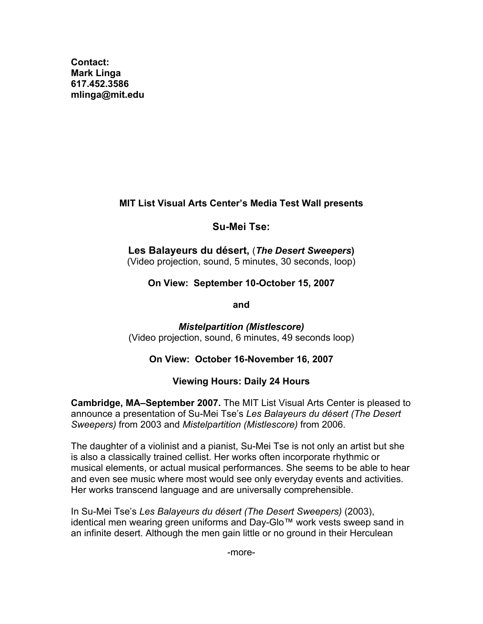**Contact: Mark Linga [617.452.3586](tel:6174523586) [mlinga@mit.edu](mailto:mlinga@mit.edu)**

# **MIT List Visual Arts Center's Media Test Wall presents**

# **Su-Mei Tse:**

**Les Balayeurs du désert,** (*The Desert Sweepers***)** (Video projection, sound, 5 minutes, 30 seconds, loop)

**On View: September 10-October 15, 2007**

**and**

*Mistelpartition (Mistlescore)* (Video projection, sound, 6 minutes, 49 seconds loop)

# **On View: October 16-November 16, 2007**

# **Viewing Hours: Daily 24 Hours**

**Cambridge, MA–September 2007.** The MIT List Visual Arts Center is pleased to announce a presentation of Su-Mei Tse's *Les Balayeurs du désert (The Desert Sweepers)* from 2003 and *Mistelpartition (Mistlescore)* from 2006.

The daughter of a violinist and a pianist, Su-Mei Tse is not only an artist but she is also a classically trained cellist. Her works often incorporate rhythmic or musical elements, or actual musical performances. She seems to be able to hear and even see music where most would see only everyday events and activities. Her works transcend language and are universally comprehensible.

In Su-Mei Tse's *Les Balayeurs du désert (The Desert Sweepers)* (2003), identical men wearing green uniforms and Day-Glo™ work vests sweep sand in an infinite desert. Although the men gain little or no ground in their Herculean

-more-